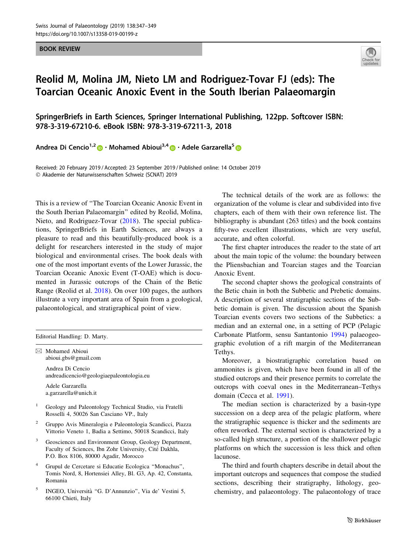BOOK REVIEW



# Reolid M, Molina JM, Nieto LM and Rodriguez-Tovar FJ (eds): The Toarcian Oceanic Anoxic Event in the South Iberian Palaeomargin

SpringerBriefs in Earth Sciences, Springer International Publishing, 122pp. Softcover ISBN: 978-3-319-67210-6. eBook ISBN: 978-3-319-67211-3, 2018

Andrea Di Cencio<sup>1,2</sup>  $\bullet \cdot$  Mohamed Abioui<sup>3,4</sup>  $\bullet \cdot$  Adele Garzarella<sup>5</sup>  $\bullet$ 

Received: 20 February 2019 / Accepted: 23 September 2019 / Published online: 14 October 2019 - Akademie der Naturwissenschaften Schweiz (SCNAT) 2019

This is a review of ''The Toarcian Oceanic Anoxic Event in the South Iberian Palaeomargin'' edited by Reolid, Molina, Nieto, and Rodriguez-Tovar ([2018\)](#page-2-0). The special publications, SpringerBriefs in Earth Sciences, are always a pleasure to read and this beautifully-produced book is a delight for researchers interested in the study of major biological and environmental crises. The book deals with one of the most important events of the Lower Jurassic, the Toarcian Oceanic Anoxic Event (T-OAE) which is documented in Jurassic outcrops of the Chain of the Betic Range (Reolid et al. [2018\)](#page-2-0). On over 100 pages, the authors illustrate a very important area of Spain from a geological, palaeontological, and stratigraphical point of view.

Editorial Handling: D. Marty.

 $\boxtimes$  Mohamed Abioui abioui.gbs@gmail.com Andrea Di Cencio andreadicencio@geologiaepaleontologia.eu

Adele Garzarella a.garzarella@unich.it

- <sup>1</sup> Geology and Paleontology Technical Studio, via Fratelli Rosselli 4, 50026 San Casciano VP., Italy
- <sup>2</sup> Gruppo Avis Mineralogia e Paleontologia Scandicci, Piazza Vittorio Veneto 1, Badia a Settimo, 50018 Scandicci, Italy
- Geosciences and Environment Group, Geology Department, Faculty of Sciences, Ibn Zohr University, Cité Dakhla, P.O. Box 8106, 80000 Agadir, Morocco
- <sup>4</sup> Grupul de Cercetare si Educatie Ecologica ''Monachus'', Tomis Nord, 8, Hortensiei Alley, Bl. G3, Ap. 42, Constanta, Romania
- <sup>5</sup> INGEO, Universita` ''G. D'Annunzio'', Via de' Vestini 5, 66100 Chieti, Italy

The technical details of the work are as follows: the organization of the volume is clear and subdivided into five chapters, each of them with their own reference list. The bibliography is abundant (263 titles) and the book contains fifty-two excellent illustrations, which are very useful, accurate, and often colorful.

The first chapter introduces the reader to the state of art about the main topic of the volume: the boundary between the Pliensbachian and Toarcian stages and the Toarcian Anoxic Event.

The second chapter shows the geological constraints of the Betic chain in both the Subbetic and Prebetic domains. A description of several stratigraphic sections of the Subbetic domain is given. The discussion about the Spanish Toarcian events covers two sections of the Subbetics: a median and an external one, in a setting of PCP (Pelagic Carbonate Platform, sensu Santantonio [1994](#page-2-0)) palaeogeographic evolution of a rift margin of the Mediterranean Tethys.

Moreover, a biostratigraphic correlation based on ammonites is given, which have been found in all of the studied outcrops and their presence permits to correlate the outcrops with coeval ones in the Mediterranean–Tethys domain (Cecca et al. [1991](#page-2-0)).

The median section is characterized by a basin-type succession on a deep area of the pelagic platform, where the stratigraphic sequence is thicker and the sediments are often reworked. The external section is characterized by a so-called high structure, a portion of the shallower pelagic platforms on which the succession is less thick and often lacunose.

The third and fourth chapters describe in detail about the important outcrops and sequences that compose the studied sections, describing their stratigraphy, lithology, geochemistry, and palaeontology. The palaeontology of trace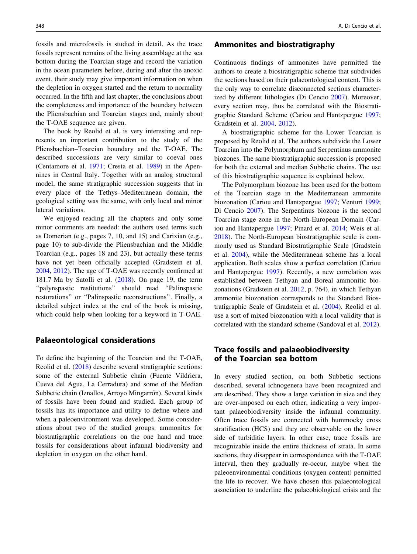fossils and microfossils is studied in detail. As the trace fossils represent remains of the living assemblage at the sea bottom during the Toarcian stage and record the variation in the ocean parameters before, during and after the anoxic event, their study may give important information on when the depletion in oxygen started and the return to normality occurred. In the fifth and last chapter, the conclusions about the completeness and importance of the boundary between the Pliensbachian and Toarcian stages and, mainly about the T-OAE sequence are given.

The book by Reolid et al. is very interesting and represents an important contribution to the study of the Pliensbachian–Toarcian boundary and the T-OAE. The described successions are very similar to coeval ones (Centamore et al. [1971](#page-2-0); Cresta et al. [1989\)](#page-2-0) in the Apennines in Central Italy. Together with an analog structural model, the same stratigraphic succession suggests that in every place of the Tethys–Mediterranean domain, the geological setting was the same, with only local and minor lateral variations.

We enjoyed reading all the chapters and only some minor comments are needed: the authors used terms such as Domerian (e.g., pages 7, 10, and 15) and Carixian (e.g., page 10) to sub-divide the Pliensbachian and the Middle Toarcian (e.g., pages 18 and 23), but actually these terms have not yet been officially accepted (Gradstein et al. [2004,](#page-2-0) [2012](#page-2-0)). The age of T-OAE was recently confirmed at 181.7 Ma by Satolli et al.  $(2018)$  $(2018)$ . On page 19, the term ''palynspastic restitutions'' should read ''Palinspastic restorations'' or ''Palinspastic reconstructions''. Finally, a detailed subject index at the end of the book is missing, which could help when looking for a keyword in T-OAE.

# Palaeontological considerations

To define the beginning of the Toarcian and the T-OAE, Reolid et al. [\(2018\)](#page-2-0) describe several stratigraphic sections: some of the external Subbetic chain (Fuente Vildriera, Cueva del Agua, La Cerradura) and some of the Median Subbetic chain (Iznallos, Arroyo Mingarrón). Several kinds of fossils have been found and studied. Each group of fossils has its importance and utility to define where and when a paleoenvironment was developed. Some considerations about two of the studied groups: ammonites for biostratigraphic correlations on the one hand and trace fossils for considerations about infaunal biodiversity and depletion in oxygen on the other hand.

# Ammonites and biostratigraphy

Continuous findings of ammonites have permitted the authors to create a biostratigraphic scheme that subdivides the sections based on their palaeontological content. This is the only way to correlate disconnected sections characterized by different lithologies (Di Cencio [2007\)](#page-2-0). Moreover, every section may, thus be correlated with the Biostratigraphic Standard Scheme (Cariou and Hantzpergue [1997](#page-2-0); Gradstein et al. [2004](#page-2-0), [2012\)](#page-2-0).

A biostratigraphic scheme for the Lower Toarcian is proposed by Reolid et al. The authors subdivide the Lower Toarcian into the Polymorphum and Serpentinus ammonite biozones. The same biostratigraphic succession is proposed for both the external and median Subbetic chains. The use of this biostratigraphic sequence is explained below.

The Polymorphum biozone has been used for the bottom of the Toarcian stage in the Mediterranean ammonite biozonation (Cariou and Hantzpergue [1997;](#page-2-0) Venturi [1999](#page-2-0); Di Cencio [2007\)](#page-2-0). The Serpentinus biozone is the second Toarcian stage zone in the North-European Domain (Cariou and Hantzpergue [1997;](#page-2-0) Pinard et al. [2014;](#page-2-0) Weis et al. [2018](#page-2-0)). The North-European biostratigraphic scale is commonly used as Standard Biostratigraphic Scale (Gradstein et al. [2004\)](#page-2-0), while the Mediterranean scheme has a local application. Both scales show a perfect correlation (Cariou and Hantzpergue [1997\)](#page-2-0). Recently, a new correlation was established between Tethyan and Boreal ammonitic biozonations (Gradstein et al. [2012,](#page-2-0) p. 764), in which Tethyan ammonite biozonation corresponds to the Standard Biostratigraphic Scale of Gradstein et al. ([2004\)](#page-2-0). Reolid et al. use a sort of mixed biozonation with a local validity that is correlated with the standard scheme (Sandoval et al. [2012](#page-2-0)).

# Trace fossils and palaeobiodiversity of the Toarcian sea bottom

In every studied section, on both Subbetic sections described, several ichnogenera have been recognized and are described. They show a large variation in size and they are over-imposed on each other, indicating a very important palaeobiodiversity inside the infaunal community. Often trace fossils are connected with hummocky cross stratification (HCS) and they are observable on the lower side of turbiditic layers. In other case, trace fossils are recognizable inside the entire thickness of strata. In some sections, they disappear in correspondence with the T-OAE interval, then they gradually re-occur, maybe when the paleoenvironmental conditions (oxygen content) permitted the life to recover. We have chosen this palaeontological association to underline the palaeobiological crisis and the